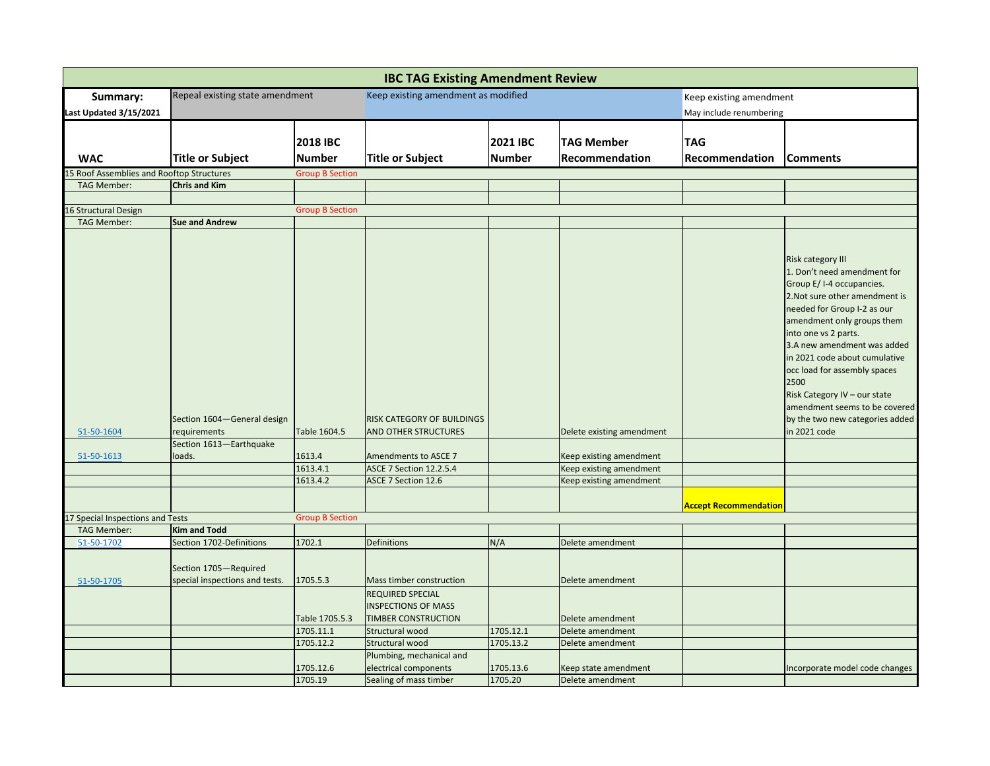| <b>IBC TAG Existing Amendment Review</b>         |                                                                        |                        |                                                                                     |               |                           |                              |                                                                                                                                                                                                                                                                                                                                                                                                                                        |  |
|--------------------------------------------------|------------------------------------------------------------------------|------------------------|-------------------------------------------------------------------------------------|---------------|---------------------------|------------------------------|----------------------------------------------------------------------------------------------------------------------------------------------------------------------------------------------------------------------------------------------------------------------------------------------------------------------------------------------------------------------------------------------------------------------------------------|--|
| Summary:                                         | Repeal existing state amendment                                        |                        | Keep existing amendment as modified                                                 |               |                           | Keep existing amendment      |                                                                                                                                                                                                                                                                                                                                                                                                                                        |  |
| Last Updated 3/15/2021                           |                                                                        |                        |                                                                                     |               |                           | May include renumbering      |                                                                                                                                                                                                                                                                                                                                                                                                                                        |  |
|                                                  |                                                                        | <b>2018 IBC</b>        |                                                                                     | 2021 IBC      | <b>TAG Member</b>         | <b>TAG</b>                   |                                                                                                                                                                                                                                                                                                                                                                                                                                        |  |
| <b>WAC</b>                                       | <b>Title or Subject</b>                                                | <b>Number</b>          | <b>Title or Subject</b>                                                             | <b>Number</b> | Recommendation            | Recommendation               | <b>Comments</b>                                                                                                                                                                                                                                                                                                                                                                                                                        |  |
| 5 Roof Assemblies and Rooftop Structures         |                                                                        | <b>Group B Section</b> |                                                                                     |               |                           |                              |                                                                                                                                                                                                                                                                                                                                                                                                                                        |  |
| <b>TAG Member:</b>                               | <b>Chris and Kim</b>                                                   |                        |                                                                                     |               |                           |                              |                                                                                                                                                                                                                                                                                                                                                                                                                                        |  |
|                                                  |                                                                        |                        |                                                                                     |               |                           |                              |                                                                                                                                                                                                                                                                                                                                                                                                                                        |  |
| <b>6 Structural Design</b><br><b>TAG Member:</b> | <b>Sue and Andrew</b>                                                  | <b>Group B Section</b> |                                                                                     |               |                           |                              |                                                                                                                                                                                                                                                                                                                                                                                                                                        |  |
|                                                  |                                                                        |                        |                                                                                     |               |                           |                              |                                                                                                                                                                                                                                                                                                                                                                                                                                        |  |
| 51-50-1604                                       | Section 1604-General design<br>requirements<br>Section 1613-Earthquake | Table 1604.5           | RISK CATEGORY OF BUILDINGS<br>AND OTHER STRUCTURES                                  |               | Delete existing amendment |                              | <b>Risk category III</b><br>1. Don't need amendment for<br>Group E/I-4 occupancies.<br>2. Not sure other amendment is<br>needed for Group I-2 as our<br>amendment only groups them<br>into one vs 2 parts.<br>3.A new amendment was added<br>in 2021 code about cumulative<br>occ load for assembly spaces<br>2500<br>Risk Category IV - our state<br>amendment seems to be covered<br>by the two new categories added<br>in 2021 code |  |
| 51-50-1613                                       | loads.                                                                 | 1613.4                 | Amendments to ASCE 7                                                                |               | Keep existing amendment   |                              |                                                                                                                                                                                                                                                                                                                                                                                                                                        |  |
|                                                  |                                                                        | 1613.4.1               | <b>ASCE 7 Section 12.2.5.4</b>                                                      |               | Keep existing amendment   |                              |                                                                                                                                                                                                                                                                                                                                                                                                                                        |  |
|                                                  |                                                                        | 1613.4.2               | ASCE 7 Section 12.6                                                                 |               | Keep existing amendment   |                              |                                                                                                                                                                                                                                                                                                                                                                                                                                        |  |
|                                                  |                                                                        |                        |                                                                                     |               |                           | <b>Accept Recommendation</b> |                                                                                                                                                                                                                                                                                                                                                                                                                                        |  |
| 7 Special Inspections and Tests                  |                                                                        | <b>Group B Section</b> |                                                                                     |               |                           |                              |                                                                                                                                                                                                                                                                                                                                                                                                                                        |  |
| <b>TAG Member:</b>                               | <b>Kim and Todd</b>                                                    |                        |                                                                                     |               |                           |                              |                                                                                                                                                                                                                                                                                                                                                                                                                                        |  |
| 51-50-1702                                       | Section 1702-Definitions                                               | 1702.1                 | Definitions                                                                         | N/A           | Delete amendment          |                              |                                                                                                                                                                                                                                                                                                                                                                                                                                        |  |
| 51-50-1705                                       | Section 1705-Required<br>special inspections and tests.                | 1705.5.3               | Mass timber construction                                                            |               | Delete amendment          |                              |                                                                                                                                                                                                                                                                                                                                                                                                                                        |  |
|                                                  |                                                                        | Table 1705.5.3         | <b>REQUIRED SPECIAL</b><br><b>INSPECTIONS OF MASS</b><br><b>TIMBER CONSTRUCTION</b> |               | Delete amendment          |                              |                                                                                                                                                                                                                                                                                                                                                                                                                                        |  |
|                                                  |                                                                        | 1705.11.1              | Structural wood                                                                     | 1705.12.1     | Delete amendment          |                              |                                                                                                                                                                                                                                                                                                                                                                                                                                        |  |
|                                                  |                                                                        | 1705.12.2              | Structural wood                                                                     | 1705.13.2     | Delete amendment          |                              |                                                                                                                                                                                                                                                                                                                                                                                                                                        |  |
|                                                  |                                                                        |                        | Plumbing, mechanical and                                                            |               |                           |                              |                                                                                                                                                                                                                                                                                                                                                                                                                                        |  |
|                                                  |                                                                        | 1705.12.6              | electrical components                                                               | 1705.13.6     | Keep state amendment      |                              | Incorporate model code changes                                                                                                                                                                                                                                                                                                                                                                                                         |  |
|                                                  |                                                                        | 1705.19                | Sealing of mass timber                                                              | 1705.20       | Delete amendment          |                              |                                                                                                                                                                                                                                                                                                                                                                                                                                        |  |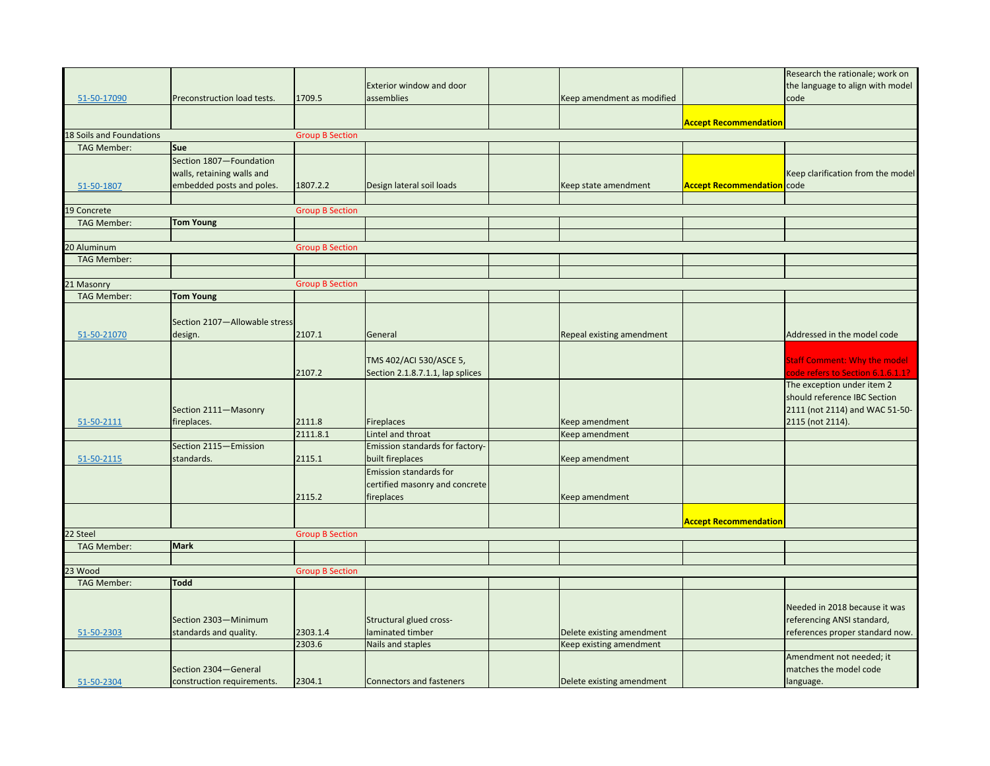|                          |                               |                        |                                  |                            |                              | Research the rationale; work on     |
|--------------------------|-------------------------------|------------------------|----------------------------------|----------------------------|------------------------------|-------------------------------------|
|                          |                               |                        |                                  |                            |                              |                                     |
|                          |                               |                        | <b>Exterior window and door</b>  |                            |                              | the language to align with model    |
| 51-50-17090              | Preconstruction load tests.   | 1709.5                 | assemblies                       | Keep amendment as modified |                              | code                                |
|                          |                               |                        |                                  |                            |                              |                                     |
|                          |                               |                        |                                  |                            | <b>Accept Recommendation</b> |                                     |
| 18 Soils and Foundations |                               | <b>Group B Section</b> |                                  |                            |                              |                                     |
| <b>TAG Member:</b>       | Sue                           |                        |                                  |                            |                              |                                     |
|                          | Section 1807-Foundation       |                        |                                  |                            |                              |                                     |
|                          | walls, retaining walls and    |                        |                                  |                            |                              | Keep clarification from the model   |
| 51-50-1807               | embedded posts and poles.     | 1807.2.2               | Design lateral soil loads        | Keep state amendment       | <b>Accept Recommendation</b> | code                                |
|                          |                               |                        |                                  |                            |                              |                                     |
| 19 Concrete              |                               |                        |                                  |                            |                              |                                     |
|                          |                               | <b>Group B Section</b> |                                  |                            |                              |                                     |
| <b>TAG Member:</b>       | <b>Tom Young</b>              |                        |                                  |                            |                              |                                     |
|                          |                               |                        |                                  |                            |                              |                                     |
| 20 Aluminum              |                               | <b>Group B Section</b> |                                  |                            |                              |                                     |
| <b>TAG Member:</b>       |                               |                        |                                  |                            |                              |                                     |
|                          |                               |                        |                                  |                            |                              |                                     |
| 21 Masonry               |                               | <b>Group B Section</b> |                                  |                            |                              |                                     |
| <b>TAG Member:</b>       | <b>Tom Young</b>              |                        |                                  |                            |                              |                                     |
|                          |                               |                        |                                  |                            |                              |                                     |
|                          | Section 2107-Allowable stress |                        |                                  |                            |                              |                                     |
| 51-50-21070              | design.                       | 2107.1                 | General                          | Repeal existing amendment  |                              | Addressed in the model code         |
|                          |                               |                        |                                  |                            |                              |                                     |
|                          |                               |                        | TMS 402/ACI 530/ASCE 5,          |                            |                              | <b>Staff Comment: Why the model</b> |
|                          |                               |                        |                                  |                            |                              | code refers to Section 6.1.6.1.1?   |
|                          |                               | 2107.2                 | Section 2.1.8.7.1.1, lap splices |                            |                              |                                     |
|                          |                               |                        |                                  |                            |                              | The exception under item 2          |
|                          |                               |                        |                                  |                            |                              | should reference IBC Section        |
|                          | Section 2111-Masonry          |                        |                                  |                            |                              | 2111 (not 2114) and WAC 51-50-      |
| 51-50-2111               | fireplaces.                   | 2111.8                 | <b>Fireplaces</b>                | Keep amendment             |                              | 2115 (not 2114).                    |
|                          |                               | 2111.8.1               | Lintel and throat                | Keep amendment             |                              |                                     |
|                          | Section 2115-Emission         |                        | Emission standards for factory-  |                            |                              |                                     |
| 51-50-2115               | standards.                    | 2115.1                 | built fireplaces                 | Keep amendment             |                              |                                     |
|                          |                               |                        | <b>Emission standards for</b>    |                            |                              |                                     |
|                          |                               |                        | certified masonry and concrete   |                            |                              |                                     |
|                          |                               | 2115.2                 | fireplaces                       | Keep amendment             |                              |                                     |
|                          |                               |                        |                                  |                            |                              |                                     |
|                          |                               |                        |                                  |                            | <b>Accept Recommendation</b> |                                     |
| 22 Steel                 |                               | <b>Group B Section</b> |                                  |                            |                              |                                     |
| <b>TAG Member:</b>       | <b>Mark</b>                   |                        |                                  |                            |                              |                                     |
|                          |                               |                        |                                  |                            |                              |                                     |
|                          |                               |                        |                                  |                            |                              |                                     |
| 23 Wood                  |                               | <b>Group B Section</b> |                                  |                            |                              |                                     |
| <b>TAG Member:</b>       | Todd                          |                        |                                  |                            |                              |                                     |
|                          |                               |                        |                                  |                            |                              |                                     |
|                          |                               |                        |                                  |                            |                              | Needed in 2018 because it was       |
|                          | Section 2303-Minimum          |                        | Structural glued cross-          |                            |                              | referencing ANSI standard,          |
| 51-50-2303               | standards and quality.        | 2303.1.4               | laminated timber                 | Delete existing amendment  |                              | references proper standard now.     |
|                          |                               | 2303.6                 | Nails and staples                | Keep existing amendment    |                              |                                     |
|                          |                               |                        |                                  |                            |                              | Amendment not needed; it            |
|                          | Section 2304-General          |                        |                                  |                            |                              | matches the model code              |
| 51-50-2304               | construction requirements.    | 2304.1                 | <b>Connectors and fasteners</b>  | Delete existing amendment  |                              | language.                           |